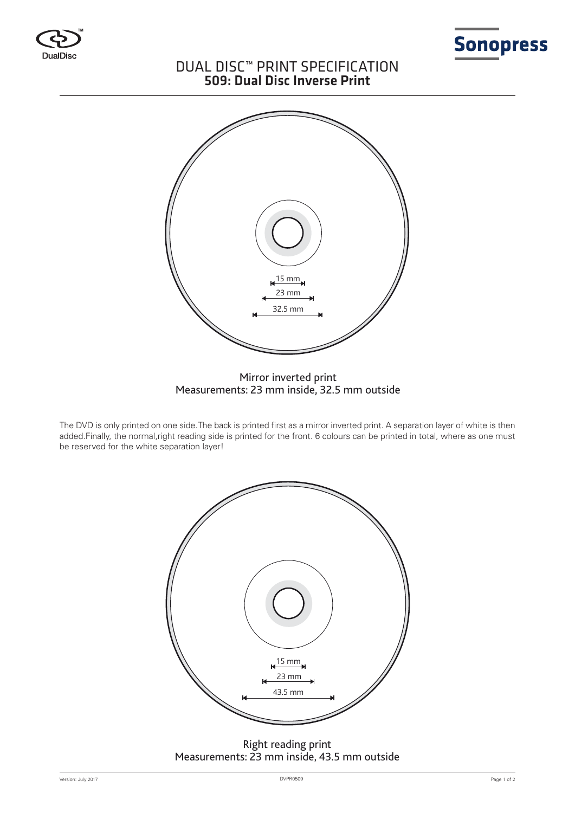



# DUAL DISC™ PRINT SPECIFICATION 509: Dual Disc Inverse Print



# Mirror inverted print Measurements: 23 mm inside, 32.5 mm outside

The DVD is only printed on one side.The back is printed first as a mirror inverted print. A separation layer of white is then added.Finally, the normal,right reading side is printed for the front. 6 colours can be printed in total, where as one must be reserved for the white separation layer!



# Right reading print Measurements: 23 mm inside, 43.5 mm outside